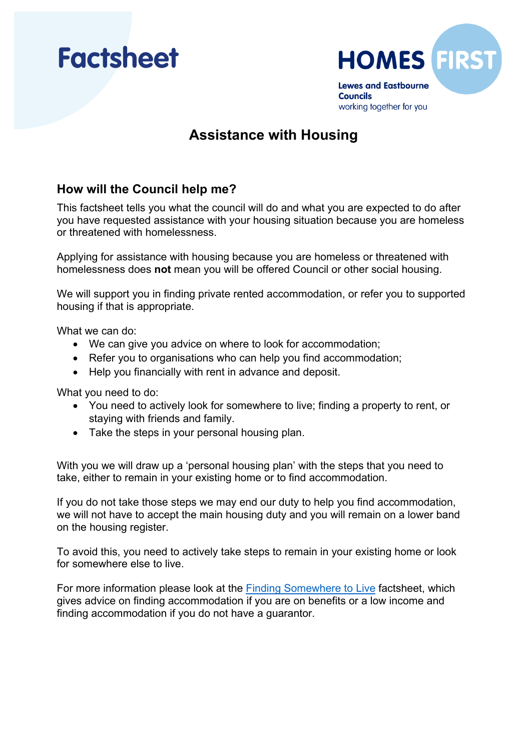



# **Assistance with Housing**

### **How will the Council help me?**

This factsheet tells you what the council will do and what you are expected to do after you have requested assistance with your housing situation because you are homeless or threatened with homelessness.

 homelessness does **not** mean you will be offered Council or other social housing. Applying for assistance with housing because you are homeless or threatened with

We will support you in finding private rented accommodation, or refer you to supported housing if that is appropriate.

What we can do:

- We can give you advice on where to look for accommodation;
- Refer you to organisations who can help you find accommodation;
- Help you financially with rent in advance and deposit.

What you need to do:

- You need to actively look for somewhere to live; finding a property to rent, or staying with friends and family.
- Take the steps in your personal housing plan.

 take, either to remain in your existing home or to find accommodation. With you we will draw up a 'personal housing plan' with the steps that you need to

 If you do not take those steps we may end our duty to help you find accommodation, we will not have to accept the main housing duty and you will remain on a lower band on the housing register.

To avoid this, you need to actively take steps to remain in your existing home or look for somewhere else to live.

For more information please look at the **Finding Somewhere to Live factsheet**, which gives advice on finding accommodation if you are on benefits or a low income and finding accommodation if you do not have a guarantor.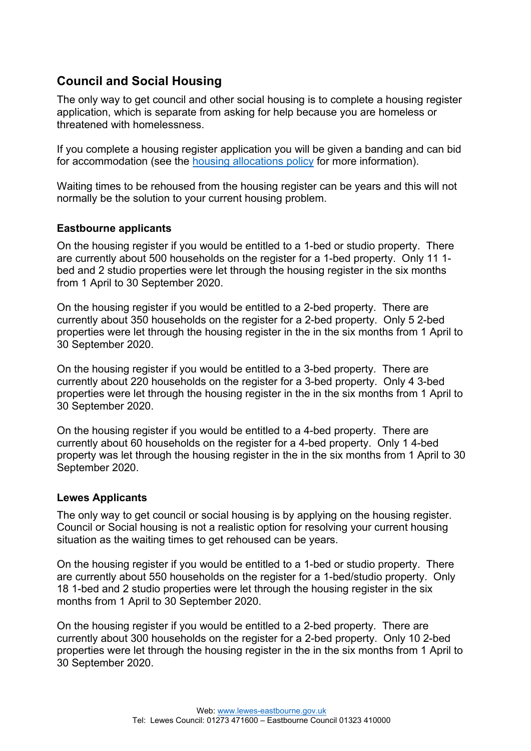## **Council and Social Housing**

The only way to get council and other social housing is to complete a housing register application, which is separate from asking for help because you are homeless or threatened with homelessness.

If you complete a housing register application you will be given a banding and can bid for accommodation (see the [housing allocations policy](https://www.lewes-eastbourne.gov.uk/housing/apply-for-housing/) for more information).

Waiting times to be rehoused from the housing register can be years and this will not normally be the solution to your current housing problem.

### **Eastbourne applicants**

 On the housing register if you would be entitled to a 1-bed or studio property. There are currently about 500 households on the register for a 1-bed property. Only 11 1 bed and 2 studio properties were let through the housing register in the six months from 1 April to 30 September 2020.

 currently about 350 households on the register for a 2-bed property. Only 5 2-bed On the housing register if you would be entitled to a 2-bed property. There are properties were let through the housing register in the in the six months from 1 April to 30 September 2020.

 currently about 220 households on the register for a 3-bed property. Only 4 3-bed On the housing register if you would be entitled to a 3-bed property. There are properties were let through the housing register in the in the six months from 1 April to 30 September 2020.

 currently about 60 households on the register for a 4-bed property. Only 1 4-bed On the housing register if you would be entitled to a 4-bed property. There are property was let through the housing register in the in the six months from 1 April to 30 September 2020.

### **Lewes Applicants**

The only way to get council or social housing is by applying on the housing register. Council or Social housing is not a realistic option for resolving your current housing situation as the waiting times to get rehoused can be years.

 are currently about 550 households on the register for a 1-bed/studio property. Only On the housing register if you would be entitled to a 1-bed or studio property. There 18 1-bed and 2 studio properties were let through the housing register in the six months from 1 April to 30 September 2020.

 currently about 300 households on the register for a 2-bed property. Only 10 2-bed On the housing register if you would be entitled to a 2-bed property. There are properties were let through the housing register in the in the six months from 1 April to 30 September 2020.